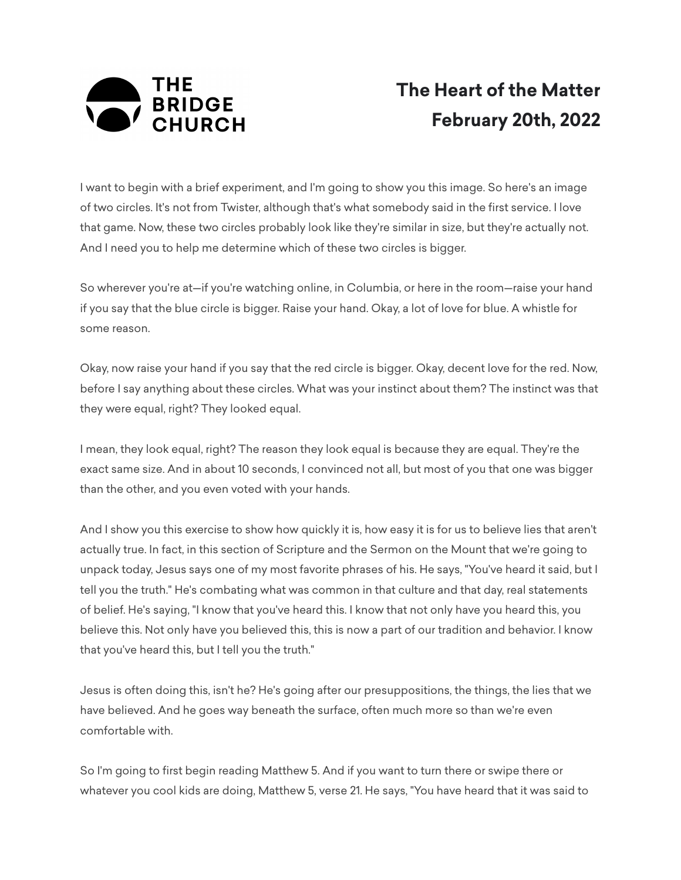

## **The Heart of the Matter February 20th, 2022**

I want to begin with a brief experiment, and I'm going to show you this image. So here's an image of two circles. It's not from Twister, although that's what somebody said in the first service. I love that game. Now, these two circles probably look like they're similar in size, but they're actually not. And I need you to help me determine which of these two circles is bigger.

So wherever you're at—if you're watching online, in Columbia, or here in the room—raise your hand if you say that the blue circle is bigger. Raise your hand. Okay, a lot of love for blue. A whistle for some reason.

Okay, now raise your hand if you say that the red circle is bigger. Okay, decent love for the red. Now, before I say anything about these circles. What was your instinct about them? The instinct was that they were equal, right? They looked equal.

I mean, they look equal, right? The reason they look equal is because they are equal. They're the exact same size. And in about 10 seconds, I convinced not all, but most of you that one was bigger than the other, and you even voted with your hands.

And I show you this exercise to show how quickly it is, how easy it is for us to believe lies that aren't actually true. In fact, in this section of Scripture and the Sermon on the Mount that we're going to unpack today, Jesus says one of my most favorite phrases of his. He says, "You've heard it said, but I tell you the truth." He's combating what was common in that culture and that day, real statements of belief. He's saying, "I know that you've heard this. I know that not only have you heard this, you believe this. Not only have you believed this, this is now a part of our tradition and behavior. I know that you've heard this, but I tell you the truth."

Jesus is often doing this, isn't he? He's going after our presuppositions, the things, the lies that we have believed. And he goes way beneath the surface, often much more so than we're even comfortable with.

So I'm going to first begin reading Matthew 5. And if you want to turn there or swipe there or whatever you cool kids are doing, Matthew 5, verse 21. He says, "You have heard that it was said to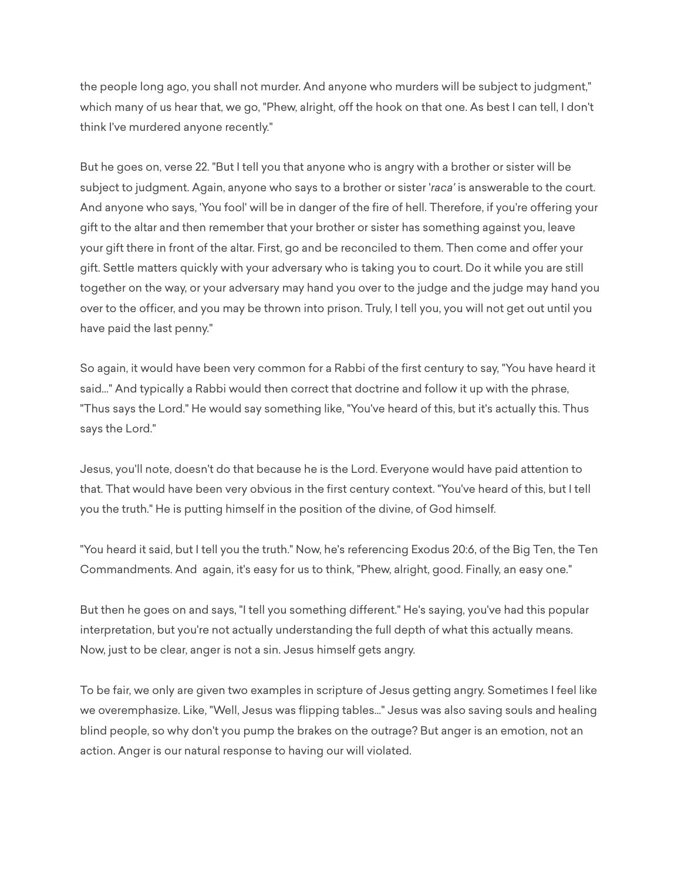the people long ago, you shall not murder. And anyone who murders will be subject to judgment," which many of us hear that, we go, "Phew, alright, off the hook on that one. As best I can tell, I don't think I've murdered anyone recently."

But he goes on, verse 22. "But I tell you that anyone who is angry with a brother or sister will be subject to judgment. Again, anyone who says to a brother or sister '*raca'* is answerable to the court. And anyone who says, 'You fool' will be in danger of the fire of hell. Therefore, if you're offering your gift to the altar and then remember that your brother or sister has something against you, leave your gift there in front of the altar. First, go and be reconciled to them. Then come and offer your gift. Settle matters quickly with your adversary who is taking you to court. Do it while you are still together on the way, or your adversary may hand you over to the judge and the judge may hand you over to the officer, and you may be thrown into prison. Truly, I tell you, you will not get out until you have paid the last penny."

So again, it would have been very common for a Rabbi of the first century to say, "You have heard it said..." And typically a Rabbi would then correct that doctrine and follow it up with the phrase, "Thus says the Lord." He would say something like, "You've heard of this, but it's actually this. Thus says the Lord."

Jesus, you'll note, doesn't do that because he is the Lord. Everyone would have paid attention to that. That would have been very obvious in the first century context. "You've heard of this, but I tell you the truth." He is putting himself in the position of the divine, of God himself.

"You heard it said, but I tell you the truth." Now, he's referencing Exodus 20:6, of the Big Ten, the Ten Commandments. And again, it's easy for us to think, "Phew, alright, good. Finally, an easy one."

But then he goes on and says, "I tell you something different." He's saying, you've had this popular interpretation, but you're not actually understanding the full depth of what this actually means. Now, just to be clear, anger is not a sin. Jesus himself gets angry.

To be fair, we only are given two examples in scripture of Jesus getting angry. Sometimes I feel like we overemphasize. Like, "Well, Jesus was flipping tables..." Jesus was also saving souls and healing blind people, so why don't you pump the brakes on the outrage? But anger is an emotion, not an action. Anger is our natural response to having our will violated.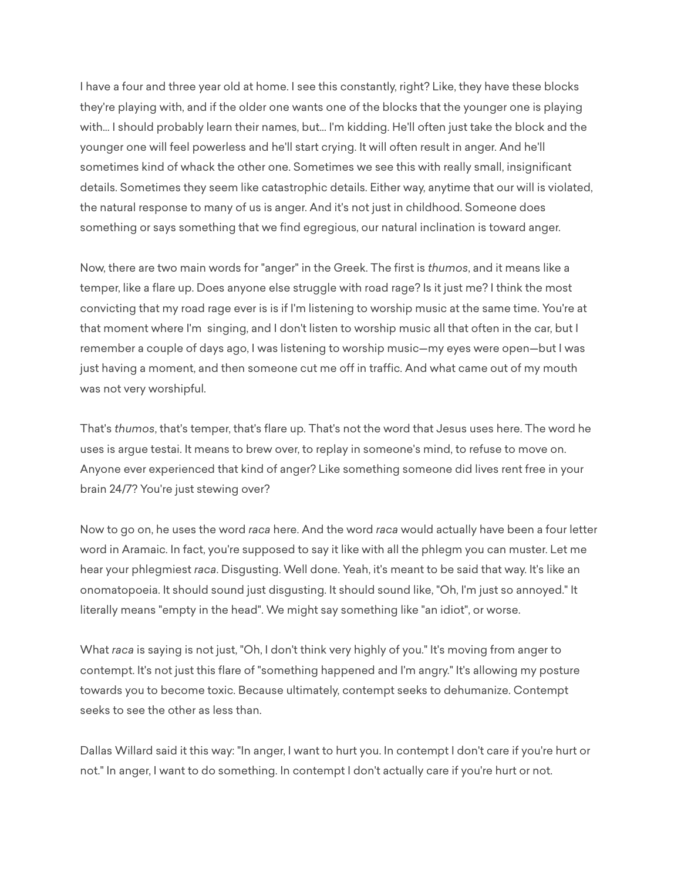I have a four and three year old at home. I see this constantly, right? Like, they have these blocks they're playing with, and if the older one wants one of the blocks that the younger one is playing with... I should probably learn their names, but... I'm kidding. He'll often just take the block and the younger one will feel powerless and he'll start crying. It will often result in anger. And he'll sometimes kind of whack the other one. Sometimes we see this with really small, insignificant details. Sometimes they seem like catastrophic details. Either way, anytime that our will is violated, the natural response to many of us is anger. And it's not just in childhood. Someone does something or says something that we find egregious, our natural inclination is toward anger.

Now, there are two main words for "anger" in the Greek. The first is *thumos*, and it means like a temper, like a flare up. Does anyone else struggle with road rage? Is it just me? I think the most convicting that my road rage ever is is if I'm listening to worship music at the same time. You're at that moment where I'm singing, and I don't listen to worship music all that often in the car, but I remember a couple of days ago, I was listening to worship music—my eyes were open—but I was just having a moment, and then someone cut me off in traffic. And what came out of my mouth was not very worshipful.

That's *thumos*, that's temper, that's flare up. That's not the word that Jesus uses here. The word he uses is argue testai. It means to brew over, to replay in someone's mind, to refuse to move on. Anyone ever experienced that kind of anger? Like something someone did lives rent free in your brain 24/7? You're just stewing over?

Now to go on, he uses the word *raca* here. And the word *raca* would actually have been a four letter word in Aramaic. In fact, you're supposed to say it like with all the phlegm you can muster. Let me hear your phlegmiest *raca*. Disgusting. Well done. Yeah, it's meant to be said that way. It's like an onomatopoeia. It should sound just disgusting. It should sound like, "Oh, I'm just so annoyed." It literally means "empty in the head". We might say something like "an idiot", or worse.

What *raca* is saying is not just, "Oh, I don't think very highly of you." It's moving from anger to contempt. It's not just this flare of "something happened and I'm angry." It's allowing my posture towards you to become toxic. Because ultimately, contempt seeks to dehumanize. Contempt seeks to see the other as less than.

Dallas Willard said it this way: "In anger, I want to hurt you. In contempt I don't care if you're hurt or not." In anger, I want to do something. In contempt I don't actually care if you're hurt or not.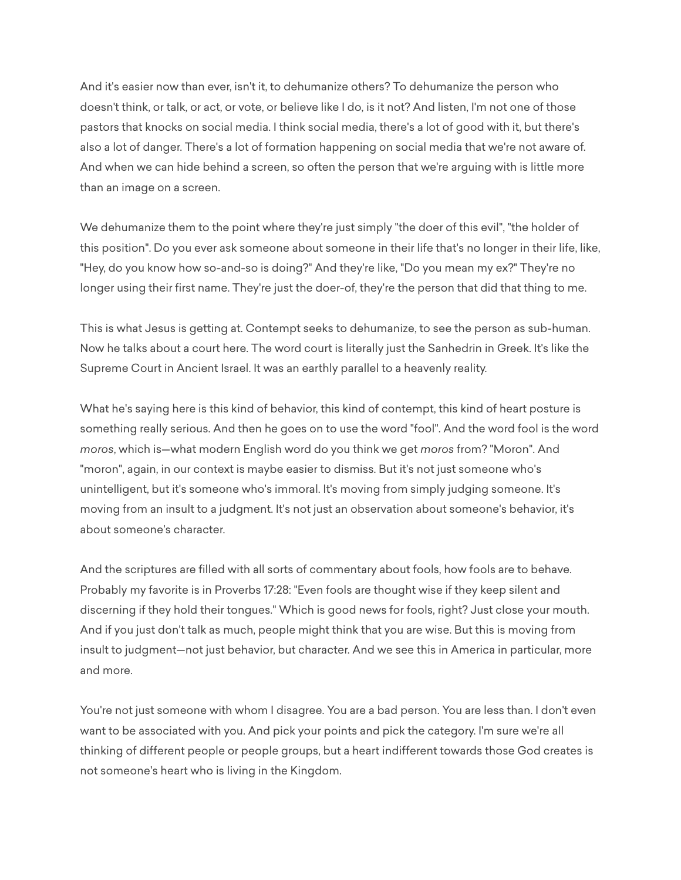And it's easier now than ever, isn't it, to dehumanize others? To dehumanize the person who doesn't think, or talk, or act, or vote, or believe like I do, is it not? And listen, I'm not one of those pastors that knocks on social media. I think social media, there's a lot of good with it, but there's also a lot of danger. There's a lot of formation happening on social media that we're not aware of. And when we can hide behind a screen, so often the person that we're arguing with is little more than an image on a screen.

We dehumanize them to the point where they're just simply "the doer of this evil", "the holder of this position". Do you ever ask someone about someone in their life that's no longer in their life, like, "Hey, do you know how so-and-so is doing?" And they're like, "Do you mean my ex?" They're no longer using their first name. They're just the doer-of, they're the person that did that thing to me.

This is what Jesus is getting at. Contempt seeks to dehumanize, to see the person as sub-human. Now he talks about a court here. The word court is literally just the Sanhedrin in Greek. It's like the Supreme Court in Ancient Israel. It was an earthly parallel to a heavenly reality.

What he's saying here is this kind of behavior, this kind of contempt, this kind of heart posture is something really serious. And then he goes on to use the word "fool". And the word fool is the word *moros*, which is—what modern English word do you think we get *moros* from? "Moron". And "moron", again, in our context is maybe easier to dismiss. But it's not just someone who's unintelligent, but it's someone who's immoral. It's moving from simply judging someone. It's moving from an insult to a judgment. It's not just an observation about someone's behavior, it's about someone's character.

And the scriptures are filled with all sorts of commentary about fools, how fools are to behave. Probably my favorite is in Proverbs 17:28: "Even fools are thought wise if they keep silent and discerning if they hold their tongues." Which is good news for fools, right? Just close your mouth. And if you just don't talk as much, people might think that you are wise. But this is moving from insult to judgment—not just behavior, but character. And we see this in America in particular, more and more.

You're not just someone with whom I disagree. You are a bad person. You are less than. I don't even want to be associated with you. And pick your points and pick the category. I'm sure we're all thinking of different people or people groups, but a heart indifferent towards those God creates is not someone's heart who is living in the Kingdom.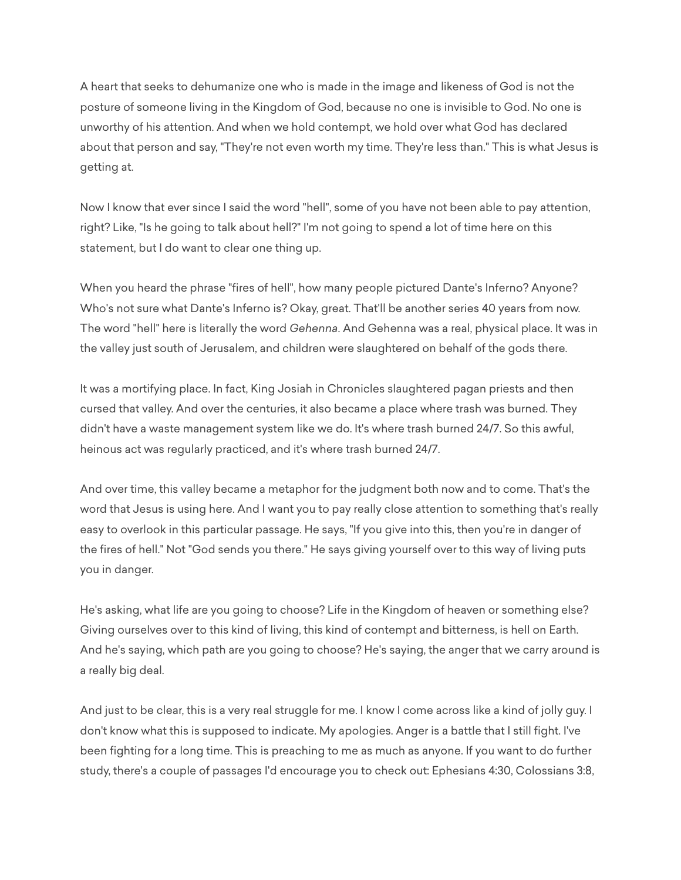A heart that seeks to dehumanize one who is made in the image and likeness of God is not the posture of someone living in the Kingdom of God, because no one is invisible to God. No one is unworthy of his attention. And when we hold contempt, we hold over what God has declared about that person and say, "They're not even worth my time. They're less than." This is what Jesus is getting at.

Now I know that ever since I said the word "hell", some of you have not been able to pay attention, right? Like, "Is he going to talk about hell?" I'm not going to spend a lot of time here on this statement, but I do want to clear one thing up.

When you heard the phrase "fires of hell", how many people pictured Dante's Inferno? Anyone? Who's not sure what Dante's Inferno is? Okay, great. That'll be another series 40 years from now. The word "hell" here is literally the word *Gehenna*. And Gehenna was a real, physical place. It was in the valley just south of Jerusalem, and children were slaughtered on behalf of the gods there.

It was a mortifying place. In fact, King Josiah in Chronicles slaughtered pagan priests and then cursed that valley. And over the centuries, it also became a place where trash was burned. They didn't have a waste management system like we do. It's where trash burned 24/7. So this awful, heinous act was regularly practiced, and it's where trash burned 24/7.

And over time, this valley became a metaphor for the judgment both now and to come. That's the word that Jesus is using here. And I want you to pay really close attention to something that's really easy to overlook in this particular passage. He says, "If you give into this, then you're in danger of the fires of hell." Not "God sends you there." He says giving yourself over to this way of living puts you in danger.

He's asking, what life are you going to choose? Life in the Kingdom of heaven or something else? Giving ourselves over to this kind of living, this kind of contempt and bitterness, is hell on Earth. And he's saying, which path are you going to choose? He's saying, the anger that we carry around is a really big deal.

And just to be clear, this is a very real struggle for me. I know I come across like a kind of jolly guy. I don't know what this is supposed to indicate. My apologies. Anger is a battle that I still fight. I've been fighting for a long time. This is preaching to me as much as anyone. If you want to do further study, there's a couple of passages I'd encourage you to check out: Ephesians 4:30, Colossians 3:8,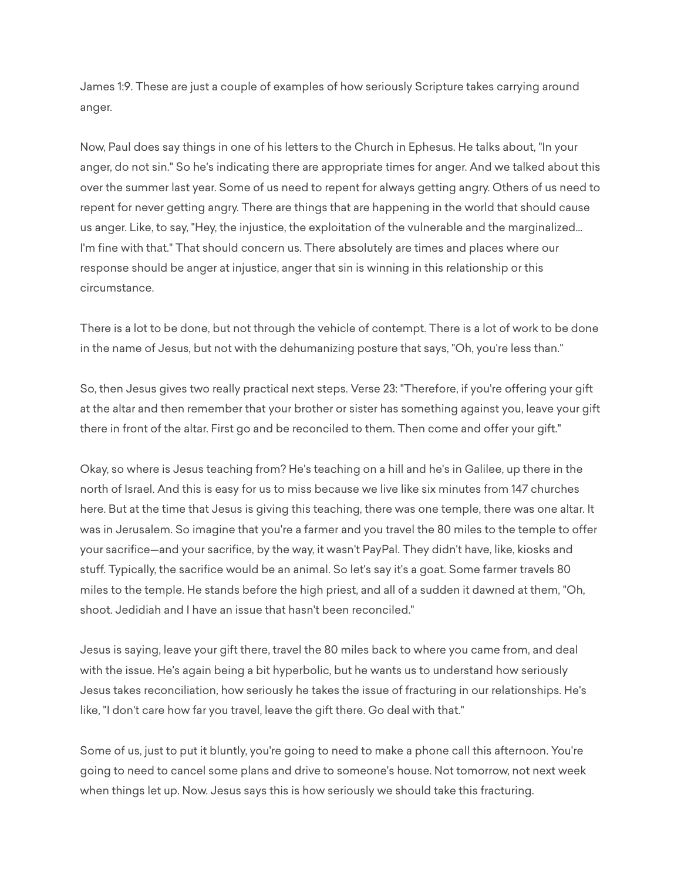James 1:9. These are just a couple of examples of how seriously Scripture takes carrying around anger.

Now, Paul does say things in one of his letters to the Church in Ephesus. He talks about, "In your anger, do not sin." So he's indicating there are appropriate times for anger. And we talked about this over the summer last year. Some of us need to repent for always getting angry. Others of us need to repent for never getting angry. There are things that are happening in the world that should cause us anger. Like, to say, "Hey, the injustice, the exploitation of the vulnerable and the marginalized... I'm fine with that." That should concern us. There absolutely are times and places where our response should be anger at injustice, anger that sin is winning in this relationship or this circumstance.

There is a lot to be done, but not through the vehicle of contempt. There is a lot of work to be done in the name of Jesus, but not with the dehumanizing posture that says, "Oh, you're less than."

So, then Jesus gives two really practical next steps. Verse 23: "Therefore, if you're offering your gift at the altar and then remember that your brother or sister has something against you, leave your gift there in front of the altar. First go and be reconciled to them. Then come and offer your gift."

Okay, so where is Jesus teaching from? He's teaching on a hill and he's in Galilee, up there in the north of Israel. And this is easy for us to miss because we live like six minutes from 147 churches here. But at the time that Jesus is giving this teaching, there was one temple, there was one altar. It was in Jerusalem. So imagine that you're a farmer and you travel the 80 miles to the temple to offer your sacrifice—and your sacrifice, by the way, it wasn't PayPal. They didn't have, like, kiosks and stuff. Typically, the sacrifice would be an animal. So let's say it's a goat. Some farmer travels 80 miles to the temple. He stands before the high priest, and all of a sudden it dawned at them, "Oh, shoot. Jedidiah and I have an issue that hasn't been reconciled."

Jesus is saying, leave your gift there, travel the 80 miles back to where you came from, and deal with the issue. He's again being a bit hyperbolic, but he wants us to understand how seriously Jesus takes reconciliation, how seriously he takes the issue of fracturing in our relationships. He's like, "I don't care how far you travel, leave the gift there. Go deal with that."

Some of us, just to put it bluntly, you're going to need to make a phone call this afternoon. You're going to need to cancel some plans and drive to someone's house. Not tomorrow, not next week when things let up. Now. Jesus says this is how seriously we should take this fracturing.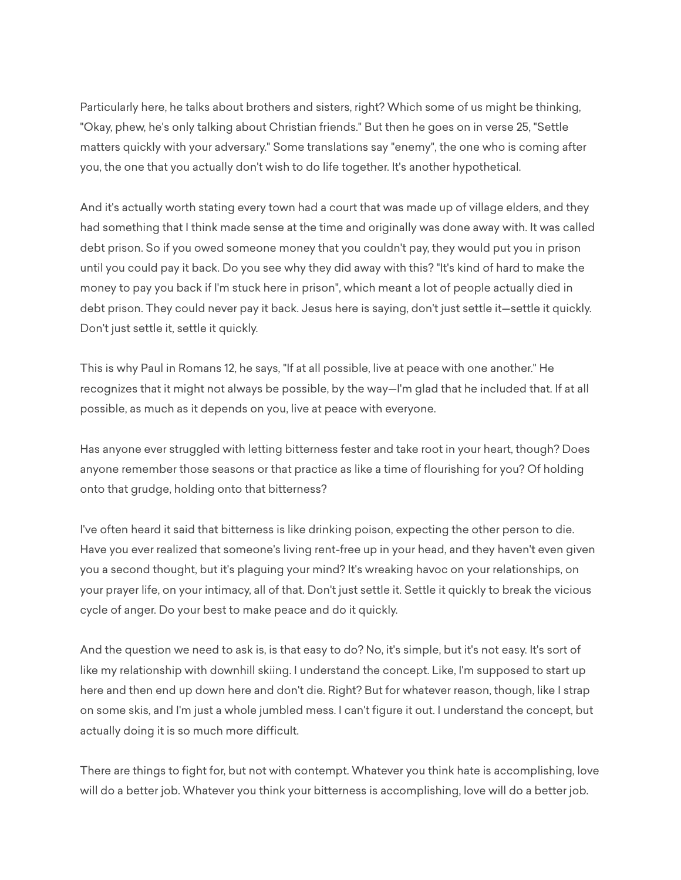Particularly here, he talks about brothers and sisters, right? Which some of us might be thinking, "Okay, phew, he's only talking about Christian friends." But then he goes on in verse 25, "Settle matters quickly with your adversary." Some translations say "enemy", the one who is coming after you, the one that you actually don't wish to do life together. It's another hypothetical.

And it's actually worth stating every town had a court that was made up of village elders, and they had something that I think made sense at the time and originally was done away with. It was called debt prison. So if you owed someone money that you couldn't pay, they would put you in prison until you could pay it back. Do you see why they did away with this? "It's kind of hard to make the money to pay you back if I'm stuck here in prison", which meant a lot of people actually died in debt prison. They could never pay it back. Jesus here is saying, don't just settle it—settle it quickly. Don't just settle it, settle it quickly.

This is why Paul in Romans 12, he says, "If at all possible, live at peace with one another." He recognizes that it might not always be possible, by the way—I'm glad that he included that. If at all possible, as much as it depends on you, live at peace with everyone.

Has anyone ever struggled with letting bitterness fester and take root in your heart, though? Does anyone remember those seasons or that practice as like a time of flourishing for you? Of holding onto that grudge, holding onto that bitterness?

I've often heard it said that bitterness is like drinking poison, expecting the other person to die. Have you ever realized that someone's living rent-free up in your head, and they haven't even given you a second thought, but it's plaguing your mind? It's wreaking havoc on your relationships, on your prayer life, on your intimacy, all of that. Don't just settle it. Settle it quickly to break the vicious cycle of anger. Do your best to make peace and do it quickly.

And the question we need to ask is, is that easy to do? No, it's simple, but it's not easy. It's sort of like my relationship with downhill skiing. I understand the concept. Like, I'm supposed to start up here and then end up down here and don't die. Right? But for whatever reason, though, like I strap on some skis, and I'm just a whole jumbled mess. I can't figure it out. I understand the concept, but actually doing it is so much more difficult.

There are things to fight for, but not with contempt. Whatever you think hate is accomplishing, love will do a better job. Whatever you think your bitterness is accomplishing, love will do a better job.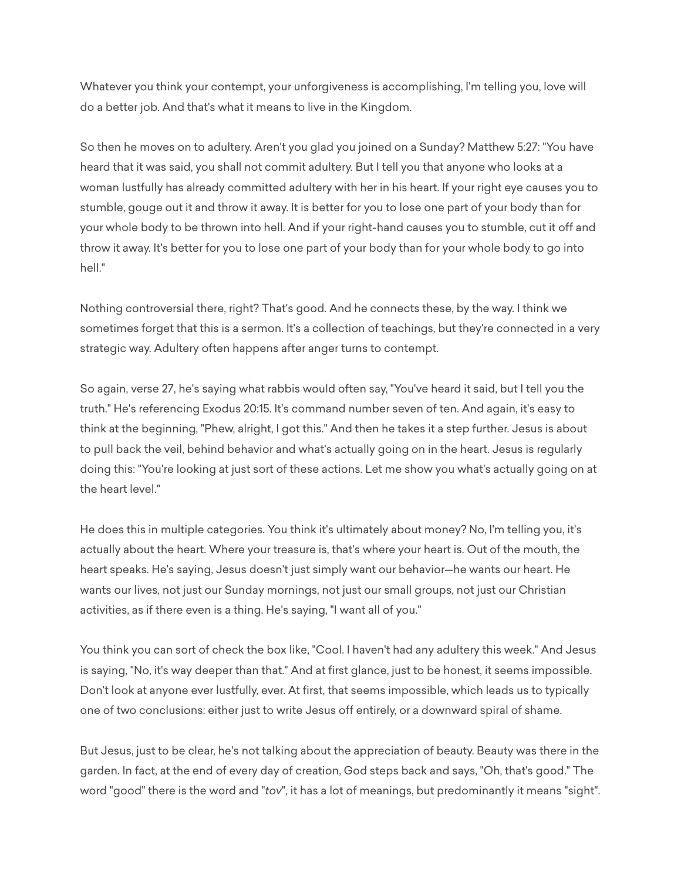Whatever you think your contempt, your unforgiveness is accomplishing, I'm telling you, love will do a better job. And that's what it means to live in the Kingdom.

So then he moves on to adultery. Aren't you glad you joined on a Sunday? Matthew 5:27: "You have heard that it was said, you shall not commit adultery. But I tell you that anyone who looks at a woman lustfully has already committed adultery with her in his heart. If your right eye causes you to stumble, gouge out it and throw it away. It is better for you to lose one part of your body than for your whole body to be thrown into hell. And if your right-hand causes you to stumble, cut it off and throw it away. It's better for you to lose one part of your body than for your whole body to go into hell"

Nothing controversial there, right? That's good. And he connects these, by the way. I think we sometimes forget that this is a sermon. It's a collection of teachings, but they're connected in a very strategic way. Adultery often happens after anger turns to contempt.

So again, verse 27, he's saying what rabbis would often say, "You've heard it said, but I tell you the truth." He's referencing Exodus 20:15. It's command number seven of ten. And again, it's easy to think at the beginning, "Phew, alright, I got this." And then he takes it a step further. Jesus is about to pull back the veil, behind behavior and what's actually going on in the heart. Jesus is regularly doing this: "You're looking at just sort of these actions. Let me show you what's actually going on at the heart level."

He does this in multiple categories. You think it's ultimately about money? No, I'm telling you, it's actually about the heart. Where your treasure is, that's where your heart is. Out of the mouth, the heart speaks. He's saying, Jesus doesn't just simply want our behavior—he wants our heart. He wants our lives, not just our Sunday mornings, not just our small groups, not just our Christian activities, as if there even is a thing. He's saying, "I want all of you."

You think you can sort of check the box like, "Cool. I haven't had any adultery this week." And Jesus is saying, "No, it's way deeper than that." And at first glance, just to be honest, it seems impossible. Don't look at anyone ever lustfully, ever. At first, that seems impossible, which leads us to typically one of two conclusions: either just to write Jesus off entirely, or a downward spiral of shame.

But Jesus, just to be clear, he's not talking about the appreciation of beauty. Beauty was there in the garden. In fact, at the end of every day of creation, God steps back and says, "Oh, that's good." The word "good" there is the word and "*tov*", it has a lot of meanings, but predominantly it means "sight".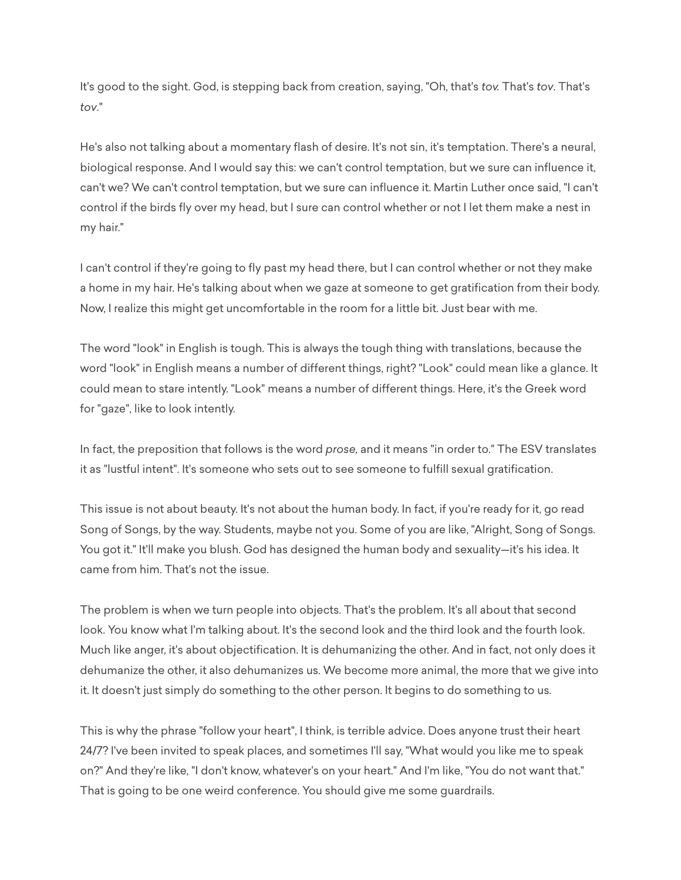It's good to the sight. God, is stepping back from creation, saying, "Oh, that's *tov.* That's *tov*. That's *tov*."

He's also not talking about a momentary flash of desire. It's not sin, it's temptation. There's a neural, biological response. And I would say this: we can't control temptation, but we sure can influence it, can't we? We can't control temptation, but we sure can influence it. Martin Luther once said, "I can't control if the birds fly over my head, but I sure can control whether or not I let them make a nest in my hair."

I can't control if they're going to fly past my head there, but I can control whether or not they make a home in my hair. He's talking about when we gaze at someone to get gratification from their body. Now, I realize this might get uncomfortable in the room for a little bit. Just bear with me.

The word "look" in English is tough. This is always the tough thing with translations, because the word "look" in English means a number of different things, right? "Look" could mean like a glance. It could mean to stare intently. "Look" means a number of different things. Here, it's the Greek word for "gaze", like to look intently.

In fact, the preposition that follows is the word *prose,* and it means "in order to." The ESV translates it as "lustful intent". It's someone who sets out to see someone to fulfill sexual gratification.

This issue is not about beauty. It's not about the human body. In fact, if you're ready for it, go read Song of Songs, by the way. Students, maybe not you. Some of you are like, "Alright, Song of Songs. You got it." It'll make you blush. God has designed the human body and sexuality—it's his idea. It came from him. That's not the issue.

The problem is when we turn people into objects. That's the problem. It's all about that second look. You know what I'm talking about. It's the second look and the third look and the fourth look. Much like anger, it's about objectification. It is dehumanizing the other. And in fact, not only does it dehumanize the other, it also dehumanizes us. We become more animal, the more that we give into it. It doesn't just simply do something to the other person. It begins to do something to us.

This is why the phrase "follow your heart", I think, is terrible advice. Does anyone trust their heart 24/7? I've been invited to speak places, and sometimes I'll say, "What would you like me to speak on?" And they're like, "I don't know, whatever's on your heart." And I'm like, "You do not want that." That is going to be one weird conference. You should give me some guardrails.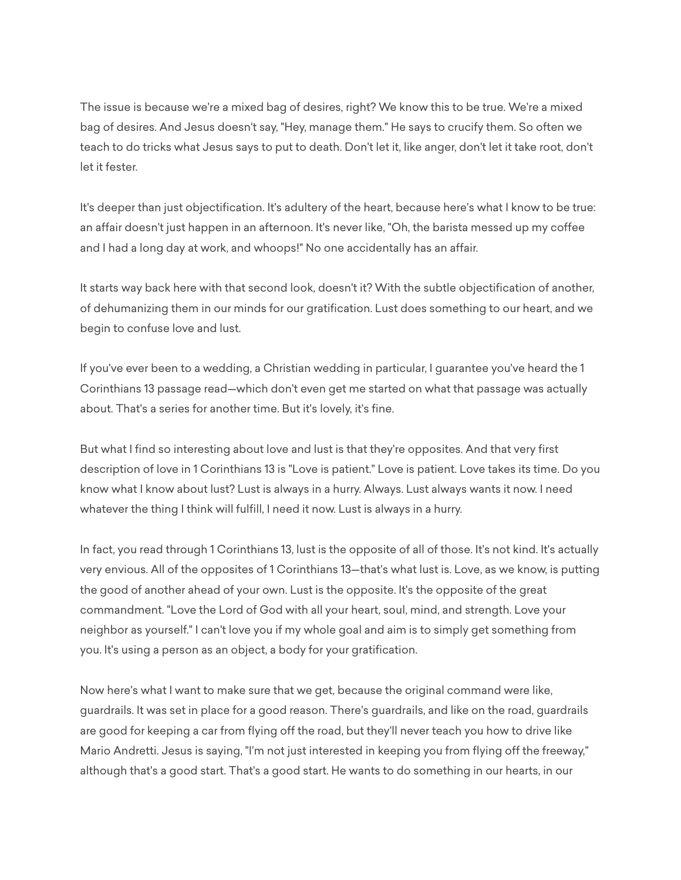The issue is because we're a mixed bag of desires, right? We know this to be true. We're a mixed bag of desires. And Jesus doesn't say, "Hey, manage them." He says to crucify them. So often we teach to do tricks what Jesus says to put to death. Don't let it, like anger, don't let it take root, don't let it fester.

It's deeper than just objectification. It's adultery of the heart, because here's what I know to be true: an affair doesn't just happen in an afternoon. It's never like, "Oh, the barista messed up my coffee and I had a long day at work, and whoops!" No one accidentally has an affair.

It starts way back here with that second look, doesn't it? With the subtle objectification of another, of dehumanizing them in our minds for our gratification. Lust does something to our heart, and we begin to confuse love and lust.

If you've ever been to a wedding, a Christian wedding in particular, I guarantee you've heard the 1 Corinthians 13 passage read—which don't even get me started on what that passage was actually about. That's a series for another time. But it's lovely, it's fine.

But what I find so interesting about love and lust is that they're opposites. And that very first description of love in 1 Corinthians 13 is "Love is patient." Love is patient. Love takes its time. Do you know what I know about lust? Lust is always in a hurry. Always. Lust always wants it now. I need whatever the thing I think will fulfill, I need it now. Lust is always in a hurry.

In fact, you read through 1 Corinthians 13, lust is the opposite of all of those. It's not kind. It's actually very envious. All of the opposites of 1 Corinthians 13—that's what lust is. Love, as we know, is putting the good of another ahead of your own. Lust is the opposite. It's the opposite of the great commandment. "Love the Lord of God with all your heart, soul, mind, and strength. Love your neighbor as yourself." I can't love you if my whole goal and aim is to simply get something from you. It's using a person as an object, a body for your gratification.

Now here's what I want to make sure that we get, because the original command were like, guardrails. It was set in place for a good reason. There's guardrails, and like on the road, guardrails are good for keeping a car from flying off the road, but they'll never teach you how to drive like Mario Andretti. Jesus is saying, "I'm not just interested in keeping you from flying off the freeway," although that's a good start. That's a good start. He wants to do something in our hearts, in our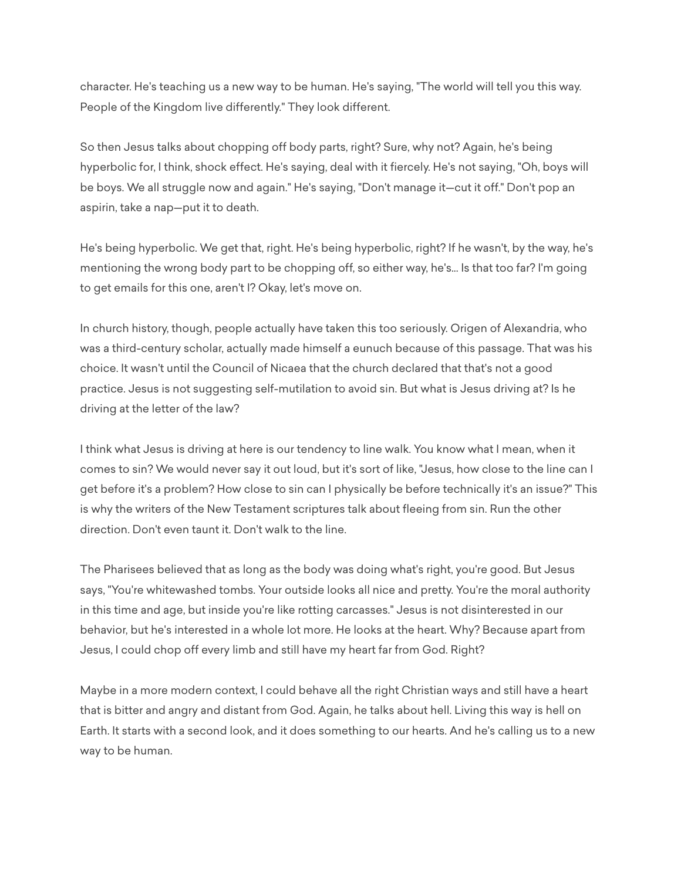character. He's teaching us a new way to be human. He's saying, "The world will tell you this way. People of the Kingdom live differently." They look different.

So then Jesus talks about chopping off body parts, right? Sure, why not? Again, he's being hyperbolic for, I think, shock effect. He's saying, deal with it fiercely. He's not saying, "Oh, boys will be boys. We all struggle now and again." He's saying, "Don't manage it—cut it off." Don't pop an aspirin, take a nap—put it to death.

He's being hyperbolic. We get that, right. He's being hyperbolic, right? If he wasn't, by the way, he's mentioning the wrong body part to be chopping off, so either way, he's... Is that too far? I'm going to get emails for this one, aren't I? Okay, let's move on.

In church history, though, people actually have taken this too seriously. Origen of Alexandria, who was a third-century scholar, actually made himself a eunuch because of this passage. That was his choice. It wasn't until the Council of Nicaea that the church declared that that's not a good practice. Jesus is not suggesting self-mutilation to avoid sin. But what is Jesus driving at? Is he driving at the letter of the law?

I think what Jesus is driving at here is our tendency to line walk. You know what I mean, when it comes to sin? We would never say it out loud, but it's sort of like, "Jesus, how close to the line can I get before it's a problem? How close to sin can I physically be before technically it's an issue?" This is why the writers of the New Testament scriptures talk about fleeing from sin. Run the other direction. Don't even taunt it. Don't walk to the line.

The Pharisees believed that as long as the body was doing what's right, you're good. But Jesus says, "You're whitewashed tombs. Your outside looks all nice and pretty. You're the moral authority in this time and age, but inside you're like rotting carcasses." Jesus is not disinterested in our behavior, but he's interested in a whole lot more. He looks at the heart. Why? Because apart from Jesus, I could chop off every limb and still have my heart far from God. Right?

Maybe in a more modern context, I could behave all the right Christian ways and still have a heart that is bitter and angry and distant from God. Again, he talks about hell. Living this way is hell on Earth. It starts with a second look, and it does something to our hearts. And he's calling us to a new way to be human.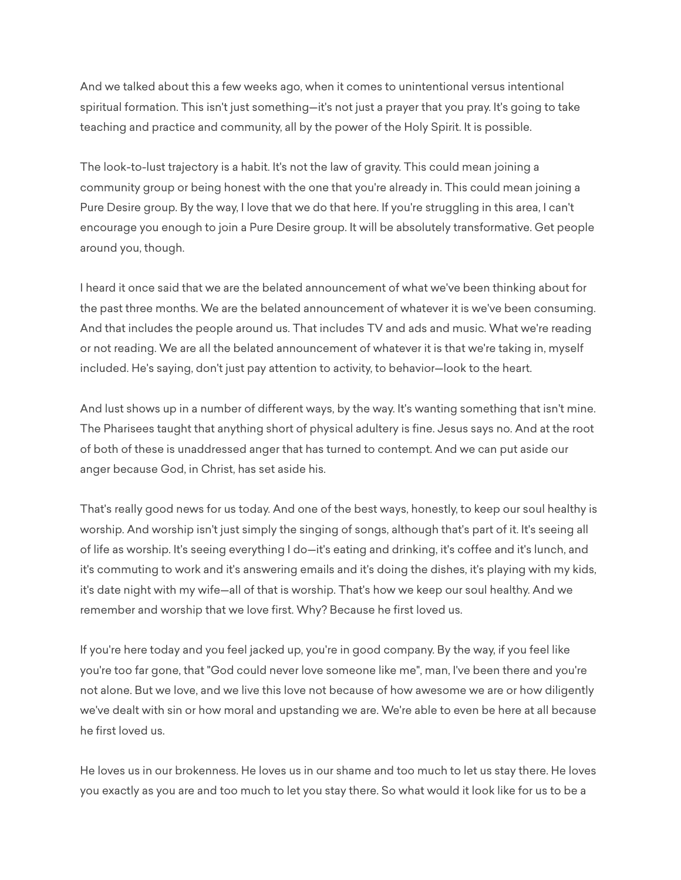And we talked about this a few weeks ago, when it comes to unintentional versus intentional spiritual formation. This isn't just something—it's not just a prayer that you pray. It's going to take teaching and practice and community, all by the power of the Holy Spirit. It is possible.

The look-to-lust trajectory is a habit. It's not the law of gravity. This could mean joining a community group or being honest with the one that you're already in. This could mean joining a Pure Desire group. By the way, I love that we do that here. If you're struggling in this area, I can't encourage you enough to join a Pure Desire group. It will be absolutely transformative. Get people around you, though.

I heard it once said that we are the belated announcement of what we've been thinking about for the past three months. We are the belated announcement of whatever it is we've been consuming. And that includes the people around us. That includes TV and ads and music. What we're reading or not reading. We are all the belated announcement of whatever it is that we're taking in, myself included. He's saying, don't just pay attention to activity, to behavior—look to the heart.

And lust shows up in a number of different ways, by the way. It's wanting something that isn't mine. The Pharisees taught that anything short of physical adultery is fine. Jesus says no. And at the root of both of these is unaddressed anger that has turned to contempt. And we can put aside our anger because God, in Christ, has set aside his.

That's really good news for us today. And one of the best ways, honestly, to keep our soul healthy is worship. And worship isn't just simply the singing of songs, although that's part of it. It's seeing all of life as worship. It's seeing everything I do—it's eating and drinking, it's coffee and it's lunch, and it's commuting to work and it's answering emails and it's doing the dishes, it's playing with my kids, it's date night with my wife—all of that is worship. That's how we keep our soul healthy. And we remember and worship that we love first. Why? Because he first loved us.

If you're here today and you feel jacked up, you're in good company. By the way, if you feel like you're too far gone, that "God could never love someone like me", man, I've been there and you're not alone. But we love, and we live this love not because of how awesome we are or how diligently we've dealt with sin or how moral and upstanding we are. We're able to even be here at all because he first loved us.

He loves us in our brokenness. He loves us in our shame and too much to let us stay there. He loves you exactly as you are and too much to let you stay there. So what would it look like for us to be a